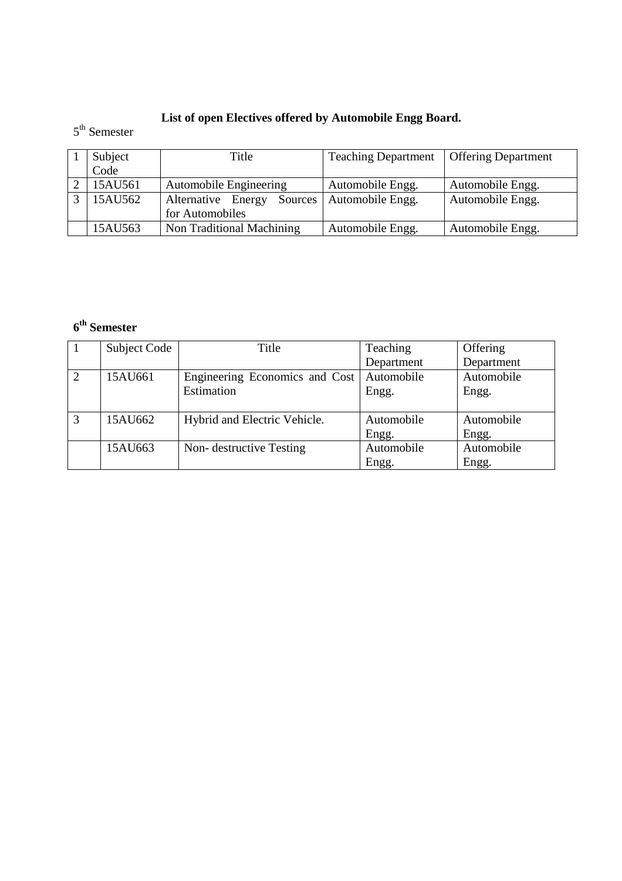# **List of open Electives offered by Automobile Engg Board.**

## 5<sup>th</sup> Semester

| Subject | Title                         | <b>Teaching Department</b> | <b>Offering Department</b> |
|---------|-------------------------------|----------------------------|----------------------------|
| Code    |                               |                            |                            |
| 15AU561 | <b>Automobile Engineering</b> | Automobile Engg.           | Automobile Engg.           |
| 15AU562 | Alternative Energy<br>Sources | Automobile Engg.           | Automobile Engg.           |
|         | for Automobiles               |                            |                            |
| 15AU563 | Non Traditional Machining     | Automobile Engg.           | Automobile Engg.           |

# **6 th Semester**

|                | <b>Subject Code</b> | Title                                       | Teaching   | Offering   |
|----------------|---------------------|---------------------------------------------|------------|------------|
|                |                     |                                             | Department | Department |
| $\overline{2}$ | 15AU661             | Engineering Economics and Cost   Automobile |            | Automobile |
|                |                     | Estimation                                  | Engg.      | Engg.      |
|                |                     |                                             |            |            |
| 3              | 15AU662             | Hybrid and Electric Vehicle.                | Automobile | Automobile |
|                |                     |                                             | Engg.      | Engg.      |
|                | 15AU663             | Non-destructive Testing                     | Automobile | Automobile |
|                |                     |                                             | Engg.      | Engg.      |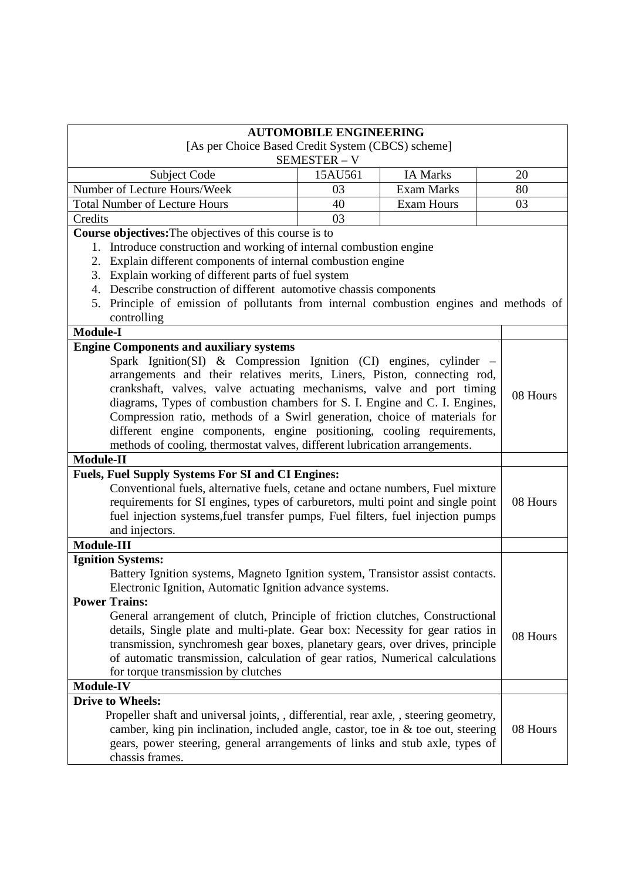| <b>AUTOMOBILE ENGINEERING</b>                                                             |         |                   |    |          |
|-------------------------------------------------------------------------------------------|---------|-------------------|----|----------|
| [As per Choice Based Credit System (CBCS) scheme]                                         |         |                   |    |          |
| SEMESTER - V                                                                              |         |                   |    |          |
| <b>Subject Code</b>                                                                       | 15AU561 | <b>IA Marks</b>   | 20 |          |
| Number of Lecture Hours/Week                                                              | 03      | <b>Exam Marks</b> | 80 |          |
| <b>Total Number of Lecture Hours</b>                                                      | 40      | <b>Exam Hours</b> | 03 |          |
| Credits                                                                                   | 03      |                   |    |          |
| Course objectives: The objectives of this course is to                                    |         |                   |    |          |
| Introduce construction and working of internal combustion engine<br>1.                    |         |                   |    |          |
| Explain different components of internal combustion engine<br>2.                          |         |                   |    |          |
| 3. Explain working of different parts of fuel system                                      |         |                   |    |          |
| 4. Describe construction of different automotive chassis components                       |         |                   |    |          |
| Principle of emission of pollutants from internal combustion engines and methods of<br>5. |         |                   |    |          |
| controlling                                                                               |         |                   |    |          |
| <b>Module-I</b>                                                                           |         |                   |    |          |
| <b>Engine Components and auxiliary systems</b>                                            |         |                   |    |          |
| Spark Ignition(SI) & Compression Ignition (CI) engines, cylinder $-$                      |         |                   |    |          |
| arrangements and their relatives merits, Liners, Piston, connecting rod,                  |         |                   |    |          |
| crankshaft, valves, valve actuating mechanisms, valve and port timing                     |         |                   |    | 08 Hours |
| diagrams, Types of combustion chambers for S. I. Engine and C. I. Engines,                |         |                   |    |          |
| Compression ratio, methods of a Swirl generation, choice of materials for                 |         |                   |    |          |
| different engine components, engine positioning, cooling requirements,                    |         |                   |    |          |
| methods of cooling, thermostat valves, different lubrication arrangements.                |         |                   |    |          |
| Module-II                                                                                 |         |                   |    |          |
| <b>Fuels, Fuel Supply Systems For SI and CI Engines:</b>                                  |         |                   |    |          |
| Conventional fuels, alternative fuels, cetane and octane numbers, Fuel mixture            |         |                   |    |          |
| requirements for SI engines, types of carburetors, multi point and single point           |         |                   |    | 08 Hours |
| fuel injection systems, fuel transfer pumps, Fuel filters, fuel injection pumps           |         |                   |    |          |
| and injectors.                                                                            |         |                   |    |          |
| <b>Module-III</b>                                                                         |         |                   |    |          |
| <b>Ignition Systems:</b>                                                                  |         |                   |    |          |
| Battery Ignition systems, Magneto Ignition system, Transistor assist contacts.            |         |                   |    |          |
| Electronic Ignition, Automatic Ignition advance systems.                                  |         |                   |    |          |
| <b>Power Trains:</b>                                                                      |         |                   |    |          |
| General arrangement of clutch, Principle of friction clutches, Constructional             |         |                   |    |          |
| details, Single plate and multi-plate. Gear box: Necessity for gear ratios in             |         |                   |    | 08 Hours |
| transmission, synchromesh gear boxes, planetary gears, over drives, principle             |         |                   |    |          |
| of automatic transmission, calculation of gear ratios, Numerical calculations             |         |                   |    |          |
| for torque transmission by clutches<br><b>Module-IV</b>                                   |         |                   |    |          |
| <b>Drive to Wheels:</b>                                                                   |         |                   |    |          |
| Propeller shaft and universal joints, , differential, rear axle, , steering geometry,     |         |                   |    |          |
| camber, king pin inclination, included angle, castor, toe in $\&$ toe out, steering       |         |                   |    | 08 Hours |
| gears, power steering, general arrangements of links and stub axle, types of              |         |                   |    |          |
| chassis frames.                                                                           |         |                   |    |          |
|                                                                                           |         |                   |    |          |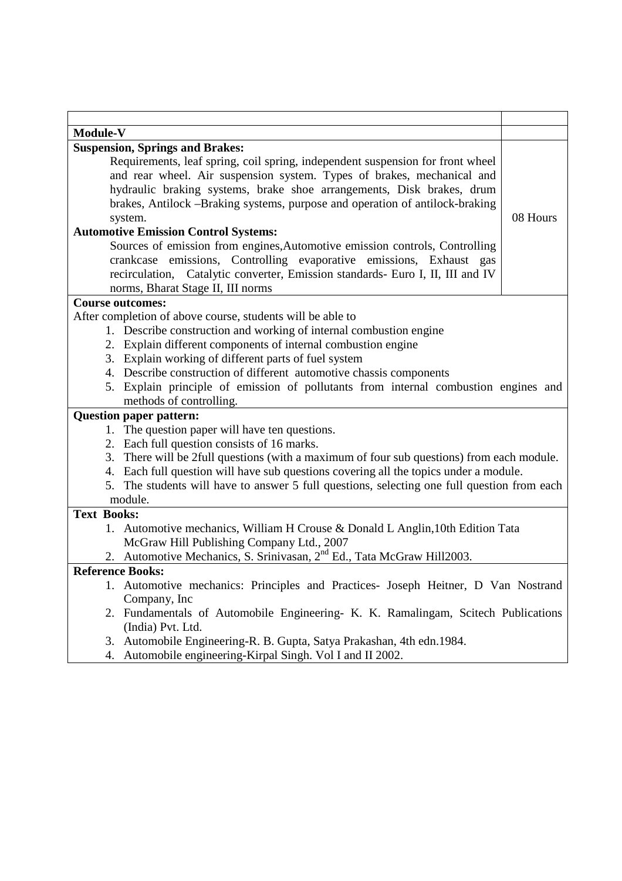| <b>Module-V</b>                                                                             |          |  |
|---------------------------------------------------------------------------------------------|----------|--|
| <b>Suspension, Springs and Brakes:</b>                                                      |          |  |
| Requirements, leaf spring, coil spring, independent suspension for front wheel              |          |  |
| and rear wheel. Air suspension system. Types of brakes, mechanical and                      |          |  |
| hydraulic braking systems, brake shoe arrangements, Disk brakes, drum                       |          |  |
| brakes, Antilock –Braking systems, purpose and operation of antilock-braking                |          |  |
| system.                                                                                     | 08 Hours |  |
| <b>Automotive Emission Control Systems:</b>                                                 |          |  |
| Sources of emission from engines, Automotive emission controls, Controlling                 |          |  |
| crankcase emissions, Controlling evaporative emissions, Exhaust gas                         |          |  |
| recirculation, Catalytic converter, Emission standards- Euro I, II, III and IV              |          |  |
| norms, Bharat Stage II, III norms                                                           |          |  |
| <b>Course outcomes:</b>                                                                     |          |  |
| After completion of above course, students will be able to                                  |          |  |
| 1. Describe construction and working of internal combustion engine                          |          |  |
| 2. Explain different components of internal combustion engine                               |          |  |
| 3. Explain working of different parts of fuel system                                        |          |  |
| 4. Describe construction of different automotive chassis components                         |          |  |
| 5. Explain principle of emission of pollutants from internal combustion engines and         |          |  |
| methods of controlling.                                                                     |          |  |
| <b>Question paper pattern:</b>                                                              |          |  |
| 1. The question paper will have ten questions.                                              |          |  |
| 2. Each full question consists of 16 marks.                                                 |          |  |
| 3. There will be 2full questions (with a maximum of four sub questions) from each module.   |          |  |
| 4. Each full question will have sub questions covering all the topics under a module.       |          |  |
| 5. The students will have to answer 5 full questions, selecting one full question from each |          |  |
| module.                                                                                     |          |  |
| <b>Text Books:</b>                                                                          |          |  |
| 1. Automotive mechanics, William H Crouse & Donald L Anglin, 10th Edition Tata              |          |  |
| McGraw Hill Publishing Company Ltd., 2007                                                   |          |  |
| 2. Automotive Mechanics, S. Srinivasan, 2 <sup>nd</sup> Ed., Tata McGraw Hill2003.          |          |  |
| <b>Reference Books:</b>                                                                     |          |  |
| 1. Automotive mechanics: Principles and Practices- Joseph Heitner, D Van Nostrand           |          |  |
| Company, Inc.                                                                               |          |  |
| 2. Fundamentals of Automobile Engineering- K. K. Ramalingam, Scitech Publications           |          |  |
| (India) Pvt. Ltd.                                                                           |          |  |
| 3. Automobile Engineering-R. B. Gupta, Satya Prakashan, 4th edn.1984.                       |          |  |
| 4. Automobile engineering-Kirpal Singh. Vol I and II 2002.                                  |          |  |

4. Automobile engineering-Kirpal Singh. Vol I and II 2002.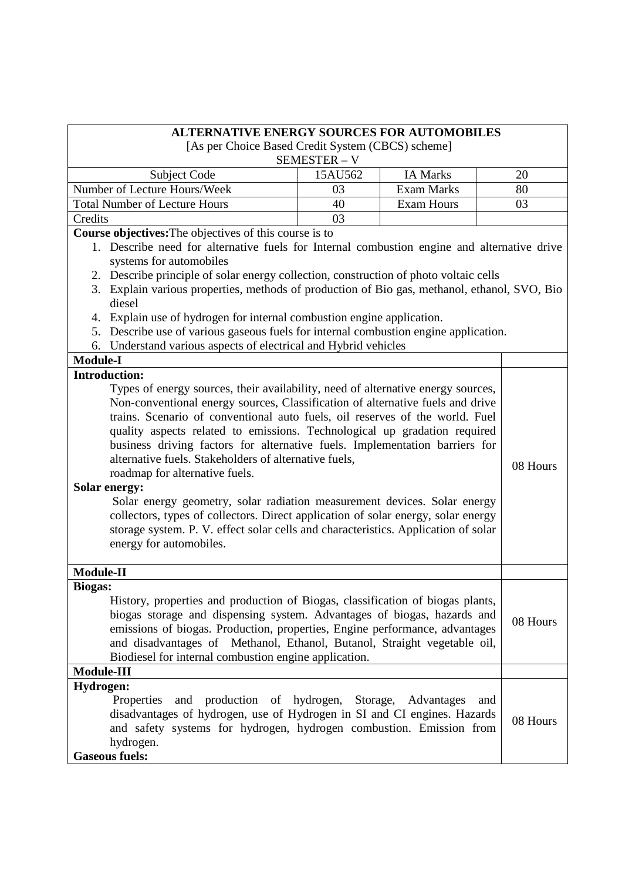| <b>ALTERNATIVE ENERGY SOURCES FOR AUTOMOBILES</b>                                                                                                                                                                                                                                                                                                                                                                                                                                                                                                                                                                                                                                                                                                                                                                   |                                                   |                   |          |          |
|---------------------------------------------------------------------------------------------------------------------------------------------------------------------------------------------------------------------------------------------------------------------------------------------------------------------------------------------------------------------------------------------------------------------------------------------------------------------------------------------------------------------------------------------------------------------------------------------------------------------------------------------------------------------------------------------------------------------------------------------------------------------------------------------------------------------|---------------------------------------------------|-------------------|----------|----------|
|                                                                                                                                                                                                                                                                                                                                                                                                                                                                                                                                                                                                                                                                                                                                                                                                                     | [As per Choice Based Credit System (CBCS) scheme] |                   |          |          |
|                                                                                                                                                                                                                                                                                                                                                                                                                                                                                                                                                                                                                                                                                                                                                                                                                     | SEMESTER - V                                      |                   |          |          |
| Subject Code                                                                                                                                                                                                                                                                                                                                                                                                                                                                                                                                                                                                                                                                                                                                                                                                        | 15AU562                                           | <b>IA Marks</b>   |          | 20       |
| Number of Lecture Hours/Week                                                                                                                                                                                                                                                                                                                                                                                                                                                                                                                                                                                                                                                                                                                                                                                        | 03                                                | <b>Exam Marks</b> |          | 80       |
| <b>Total Number of Lecture Hours</b>                                                                                                                                                                                                                                                                                                                                                                                                                                                                                                                                                                                                                                                                                                                                                                                | 40                                                | <b>Exam Hours</b> |          | 03       |
| Credits                                                                                                                                                                                                                                                                                                                                                                                                                                                                                                                                                                                                                                                                                                                                                                                                             | 03                                                |                   |          |          |
| Course objectives: The objectives of this course is to                                                                                                                                                                                                                                                                                                                                                                                                                                                                                                                                                                                                                                                                                                                                                              |                                                   |                   |          |          |
| 1. Describe need for alternative fuels for Internal combustion engine and alternative drive                                                                                                                                                                                                                                                                                                                                                                                                                                                                                                                                                                                                                                                                                                                         |                                                   |                   |          |          |
| systems for automobiles                                                                                                                                                                                                                                                                                                                                                                                                                                                                                                                                                                                                                                                                                                                                                                                             |                                                   |                   |          |          |
| 2. Describe principle of solar energy collection, construction of photo voltaic cells                                                                                                                                                                                                                                                                                                                                                                                                                                                                                                                                                                                                                                                                                                                               |                                                   |                   |          |          |
| 3. Explain various properties, methods of production of Bio gas, methanol, ethanol, SVO, Bio<br>diesel                                                                                                                                                                                                                                                                                                                                                                                                                                                                                                                                                                                                                                                                                                              |                                                   |                   |          |          |
| Explain use of hydrogen for internal combustion engine application.<br>4.                                                                                                                                                                                                                                                                                                                                                                                                                                                                                                                                                                                                                                                                                                                                           |                                                   |                   |          |          |
| 5. Describe use of various gaseous fuels for internal combustion engine application.                                                                                                                                                                                                                                                                                                                                                                                                                                                                                                                                                                                                                                                                                                                                |                                                   |                   |          |          |
| 6. Understand various aspects of electrical and Hybrid vehicles                                                                                                                                                                                                                                                                                                                                                                                                                                                                                                                                                                                                                                                                                                                                                     |                                                   |                   |          |          |
| <b>Module-I</b>                                                                                                                                                                                                                                                                                                                                                                                                                                                                                                                                                                                                                                                                                                                                                                                                     |                                                   |                   |          |          |
| <b>Introduction:</b>                                                                                                                                                                                                                                                                                                                                                                                                                                                                                                                                                                                                                                                                                                                                                                                                |                                                   |                   |          |          |
| Types of energy sources, their availability, need of alternative energy sources,<br>Non-conventional energy sources, Classification of alternative fuels and drive<br>trains. Scenario of conventional auto fuels, oil reserves of the world. Fuel<br>quality aspects related to emissions. Technological up gradation required<br>business driving factors for alternative fuels. Implementation barriers for<br>alternative fuels. Stakeholders of alternative fuels,<br>roadmap for alternative fuels.<br><b>Solar energy:</b><br>Solar energy geometry, solar radiation measurement devices. Solar energy<br>collectors, types of collectors. Direct application of solar energy, solar energy<br>storage system. P. V. effect solar cells and characteristics. Application of solar<br>energy for automobiles. |                                                   |                   | 08 Hours |          |
| Module-II                                                                                                                                                                                                                                                                                                                                                                                                                                                                                                                                                                                                                                                                                                                                                                                                           |                                                   |                   |          |          |
| <b>Biogas:</b><br>History, properties and production of Biogas, classification of biogas plants,<br>biogas storage and dispensing system. Advantages of biogas, hazards and<br>emissions of biogas. Production, properties, Engine performance, advantages<br>and disadvantages of Methanol, Ethanol, Butanol, Straight vegetable oil,<br>Biodiesel for internal combustion engine application.                                                                                                                                                                                                                                                                                                                                                                                                                     |                                                   |                   | 08 Hours |          |
| Module-III                                                                                                                                                                                                                                                                                                                                                                                                                                                                                                                                                                                                                                                                                                                                                                                                          |                                                   |                   |          |          |
| <b>Hydrogen:</b><br>Properties<br>and production of hydrogen, Storage, Advantages<br>and<br>disadvantages of hydrogen, use of Hydrogen in SI and CI engines. Hazards<br>and safety systems for hydrogen, hydrogen combustion. Emission from<br>hydrogen.<br><b>Gaseous fuels:</b>                                                                                                                                                                                                                                                                                                                                                                                                                                                                                                                                   |                                                   |                   |          | 08 Hours |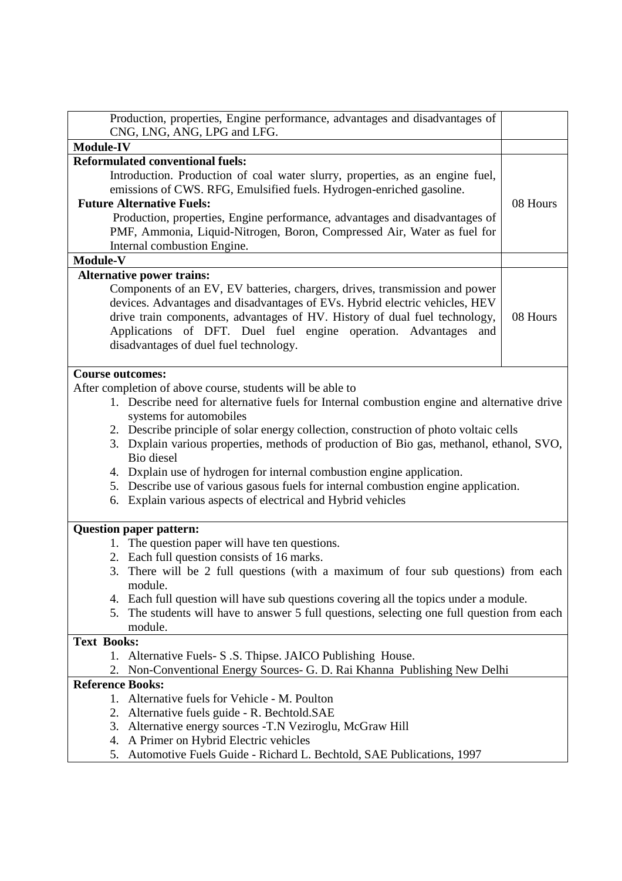| Production, properties, Engine performance, advantages and disadvantages of<br>CNG, LNG, ANG, LPG and LFG.                                                                                                                                                                                                                                                                                                                                                                                                                                                                                                                                          |          |  |
|-----------------------------------------------------------------------------------------------------------------------------------------------------------------------------------------------------------------------------------------------------------------------------------------------------------------------------------------------------------------------------------------------------------------------------------------------------------------------------------------------------------------------------------------------------------------------------------------------------------------------------------------------------|----------|--|
| <b>Module-IV</b>                                                                                                                                                                                                                                                                                                                                                                                                                                                                                                                                                                                                                                    |          |  |
| <b>Reformulated conventional fuels:</b><br>Introduction. Production of coal water slurry, properties, as an engine fuel,<br>emissions of CWS. RFG, Emulsified fuels. Hydrogen-enriched gasoline.                                                                                                                                                                                                                                                                                                                                                                                                                                                    |          |  |
| <b>Future Alternative Fuels:</b><br>Production, properties, Engine performance, advantages and disadvantages of<br>PMF, Ammonia, Liquid-Nitrogen, Boron, Compressed Air, Water as fuel for<br>Internal combustion Engine.                                                                                                                                                                                                                                                                                                                                                                                                                           | 08 Hours |  |
| Module-V                                                                                                                                                                                                                                                                                                                                                                                                                                                                                                                                                                                                                                            |          |  |
| <b>Alternative power trains:</b><br>Components of an EV, EV batteries, chargers, drives, transmission and power<br>devices. Advantages and disadvantages of EVs. Hybrid electric vehicles, HEV<br>drive train components, advantages of HV. History of dual fuel technology,<br>Applications of DFT. Duel fuel engine operation. Advantages<br>and<br>disadvantages of duel fuel technology.                                                                                                                                                                                                                                                        | 08 Hours |  |
| <b>Course outcomes:</b><br>After completion of above course, students will be able to<br>1. Describe need for alternative fuels for Internal combustion engine and alternative drive<br>systems for automobiles<br>2. Describe principle of solar energy collection, construction of photo voltaic cells<br>3. Dxplain various properties, methods of production of Bio gas, methanol, ethanol, SVO,<br>Bio diesel<br>4. Dxplain use of hydrogen for internal combustion engine application.<br>5. Describe use of various gasous fuels for internal combustion engine application.<br>6. Explain various aspects of electrical and Hybrid vehicles |          |  |
| <b>Question paper pattern:</b><br>1. The question paper will have ten questions.<br>2. Each full question consists of 16 marks.<br>3. There will be 2 full questions (with a maximum of four sub questions) from each<br>module.<br>4. Each full question will have sub questions covering all the topics under a module.<br>5. The students will have to answer 5 full questions, selecting one full question from each<br>module.                                                                                                                                                                                                                 |          |  |
| <b>Text Books:</b><br>1. Alternative Fuels- S.S. Thipse. JAICO Publishing House.<br>Non-Conventional Energy Sources- G. D. Rai Khanna Publishing New Delhi<br>2.                                                                                                                                                                                                                                                                                                                                                                                                                                                                                    |          |  |
| <b>Reference Books:</b><br>1. Alternative fuels for Vehicle - M. Poulton<br>2. Alternative fuels guide - R. Bechtold.SAE<br>3. Alternative energy sources - T.N Veziroglu, McGraw Hill<br>4. A Primer on Hybrid Electric vehicles<br>Automotive Fuels Guide - Richard L. Bechtold, SAE Publications, 1997<br>5.                                                                                                                                                                                                                                                                                                                                     |          |  |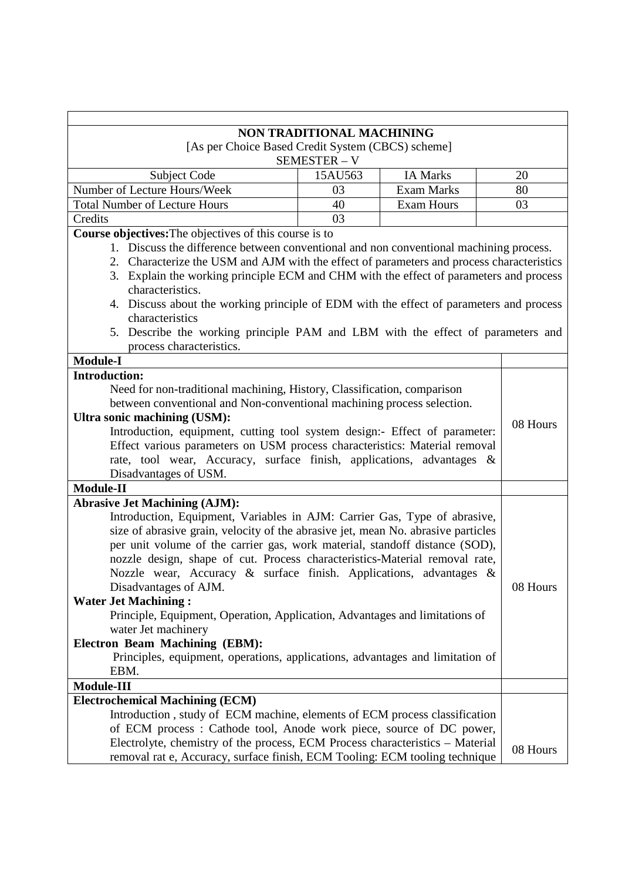|                                                                                                            | <b>NON TRADITIONAL MACHINING</b> |                   |          |  |
|------------------------------------------------------------------------------------------------------------|----------------------------------|-------------------|----------|--|
| [As per Choice Based Credit System (CBCS) scheme]                                                          |                                  |                   |          |  |
|                                                                                                            | SEMESTER - V                     |                   |          |  |
| Subject Code                                                                                               | 15AU563                          | <b>IA Marks</b>   | 20       |  |
| Number of Lecture Hours/Week                                                                               | 03                               | <b>Exam Marks</b> | 80       |  |
| <b>Total Number of Lecture Hours</b>                                                                       | 40                               | <b>Exam Hours</b> | 03       |  |
| Credits                                                                                                    | 03                               |                   |          |  |
| <b>Course objectives:</b> The objectives of this course is to                                              |                                  |                   |          |  |
| 1. Discuss the difference between conventional and non conventional machining process.                     |                                  |                   |          |  |
| Characterize the USM and AJM with the effect of parameters and process characteristics<br>2.               |                                  |                   |          |  |
| 3. Explain the working principle ECM and CHM with the effect of parameters and process                     |                                  |                   |          |  |
| characteristics.                                                                                           |                                  |                   |          |  |
| 4. Discuss about the working principle of EDM with the effect of parameters and process                    |                                  |                   |          |  |
| characteristics                                                                                            |                                  |                   |          |  |
| 5. Describe the working principle PAM and LBM with the effect of parameters and                            |                                  |                   |          |  |
| process characteristics.                                                                                   |                                  |                   |          |  |
| <b>Module-I</b>                                                                                            |                                  |                   |          |  |
| <b>Introduction:</b>                                                                                       |                                  |                   |          |  |
| Need for non-traditional machining, History, Classification, comparison                                    |                                  |                   |          |  |
| between conventional and Non-conventional machining process selection.                                     |                                  |                   |          |  |
| Ultra sonic machining (USM):<br>Introduction, equipment, cutting tool system design:- Effect of parameter: |                                  |                   |          |  |
|                                                                                                            |                                  |                   | 08 Hours |  |
| Effect various parameters on USM process characteristics: Material removal                                 |                                  |                   |          |  |
| rate, tool wear, Accuracy, surface finish, applications, advantages &                                      |                                  |                   |          |  |
| Disadvantages of USM.                                                                                      |                                  |                   |          |  |
| Module-II                                                                                                  |                                  |                   |          |  |
| <b>Abrasive Jet Machining (AJM):</b>                                                                       |                                  |                   |          |  |
| Introduction, Equipment, Variables in AJM: Carrier Gas, Type of abrasive,                                  |                                  |                   |          |  |
| size of abrasive grain, velocity of the abrasive jet, mean No. abrasive particles                          |                                  |                   |          |  |
| per unit volume of the carrier gas, work material, standoff distance (SOD),                                |                                  |                   |          |  |
| nozzle design, shape of cut. Process characteristics-Material removal rate,                                |                                  |                   |          |  |
| Nozzle wear, Accuracy & surface finish. Applications, advantages &                                         |                                  |                   |          |  |
| Disadvantages of AJM.                                                                                      |                                  |                   | 08 Hours |  |
| <b>Water Jet Machining:</b>                                                                                |                                  |                   |          |  |
| Principle, Equipment, Operation, Application, Advantages and limitations of                                |                                  |                   |          |  |
| water Jet machinery                                                                                        |                                  |                   |          |  |
| <b>Electron Beam Machining (EBM):</b>                                                                      |                                  |                   |          |  |
| Principles, equipment, operations, applications, advantages and limitation of                              |                                  |                   |          |  |
| EBM.                                                                                                       |                                  |                   |          |  |
| Module-III                                                                                                 |                                  |                   |          |  |
| <b>Electrochemical Machining (ECM)</b>                                                                     |                                  |                   |          |  |
| Introduction, study of ECM machine, elements of ECM process classification                                 |                                  |                   |          |  |
| of ECM process: Cathode tool, Anode work piece, source of DC power,                                        |                                  |                   |          |  |
| Electrolyte, chemistry of the process, ECM Process characteristics - Material                              |                                  |                   | 08 Hours |  |
| removal rat e, Accuracy, surface finish, ECM Tooling: ECM tooling technique                                |                                  |                   |          |  |

 $\mathbf{r}$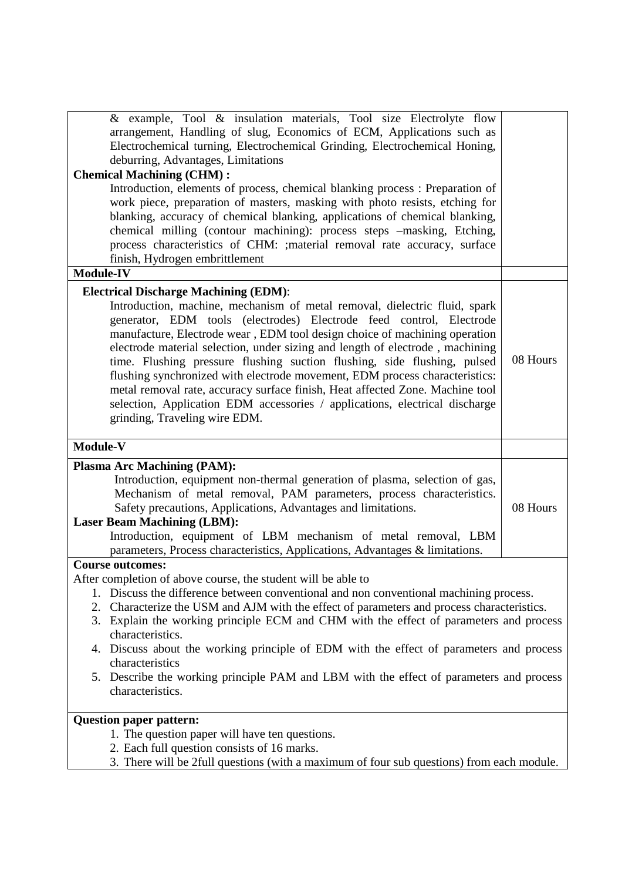| & example, Tool & insulation materials, Tool size Electrolyte flow<br>arrangement, Handling of slug, Economics of ECM, Applications such as<br>Electrochemical turning, Electrochemical Grinding, Electrochemical Honing,<br>deburring, Advantages, Limitations                                                                                                                                                                                                                                                                                                                                                                                                              |          |  |
|------------------------------------------------------------------------------------------------------------------------------------------------------------------------------------------------------------------------------------------------------------------------------------------------------------------------------------------------------------------------------------------------------------------------------------------------------------------------------------------------------------------------------------------------------------------------------------------------------------------------------------------------------------------------------|----------|--|
| <b>Chemical Machining (CHM):</b>                                                                                                                                                                                                                                                                                                                                                                                                                                                                                                                                                                                                                                             |          |  |
| Introduction, elements of process, chemical blanking process: Preparation of                                                                                                                                                                                                                                                                                                                                                                                                                                                                                                                                                                                                 |          |  |
| work piece, preparation of masters, masking with photo resists, etching for                                                                                                                                                                                                                                                                                                                                                                                                                                                                                                                                                                                                  |          |  |
| blanking, accuracy of chemical blanking, applications of chemical blanking,                                                                                                                                                                                                                                                                                                                                                                                                                                                                                                                                                                                                  |          |  |
| chemical milling (contour machining): process steps -masking, Etching,                                                                                                                                                                                                                                                                                                                                                                                                                                                                                                                                                                                                       |          |  |
| process characteristics of CHM: ; material removal rate accuracy, surface                                                                                                                                                                                                                                                                                                                                                                                                                                                                                                                                                                                                    |          |  |
| finish, Hydrogen embrittlement                                                                                                                                                                                                                                                                                                                                                                                                                                                                                                                                                                                                                                               |          |  |
| <b>Module-IV</b>                                                                                                                                                                                                                                                                                                                                                                                                                                                                                                                                                                                                                                                             |          |  |
| <b>Electrical Discharge Machining (EDM):</b>                                                                                                                                                                                                                                                                                                                                                                                                                                                                                                                                                                                                                                 |          |  |
| Introduction, machine, mechanism of metal removal, dielectric fluid, spark<br>generator, EDM tools (electrodes) Electrode feed control, Electrode<br>manufacture, Electrode wear, EDM tool design choice of machining operation<br>electrode material selection, under sizing and length of electrode, machining<br>time. Flushing pressure flushing suction flushing, side flushing, pulsed<br>flushing synchronized with electrode movement, EDM process characteristics:<br>metal removal rate, accuracy surface finish, Heat affected Zone. Machine tool<br>selection, Application EDM accessories / applications, electrical discharge<br>grinding, Traveling wire EDM. | 08 Hours |  |
| Module-V                                                                                                                                                                                                                                                                                                                                                                                                                                                                                                                                                                                                                                                                     |          |  |
| <b>Plasma Arc Machining (PAM):</b>                                                                                                                                                                                                                                                                                                                                                                                                                                                                                                                                                                                                                                           |          |  |
| Introduction, equipment non-thermal generation of plasma, selection of gas,                                                                                                                                                                                                                                                                                                                                                                                                                                                                                                                                                                                                  |          |  |
| Mechanism of metal removal, PAM parameters, process characteristics.                                                                                                                                                                                                                                                                                                                                                                                                                                                                                                                                                                                                         |          |  |
| Safety precautions, Applications, Advantages and limitations.                                                                                                                                                                                                                                                                                                                                                                                                                                                                                                                                                                                                                | 08 Hours |  |
| <b>Laser Beam Machining (LBM):</b>                                                                                                                                                                                                                                                                                                                                                                                                                                                                                                                                                                                                                                           |          |  |
| Introduction, equipment of LBM mechanism of metal removal, LBM                                                                                                                                                                                                                                                                                                                                                                                                                                                                                                                                                                                                               |          |  |
| parameters, Process characteristics, Applications, Advantages & limitations.                                                                                                                                                                                                                                                                                                                                                                                                                                                                                                                                                                                                 |          |  |
| <b>Course outcomes:</b>                                                                                                                                                                                                                                                                                                                                                                                                                                                                                                                                                                                                                                                      |          |  |
| After completion of above course, the student will be able to                                                                                                                                                                                                                                                                                                                                                                                                                                                                                                                                                                                                                |          |  |
| 1. Discuss the difference between conventional and non conventional machining process.                                                                                                                                                                                                                                                                                                                                                                                                                                                                                                                                                                                       |          |  |
| 2. Characterize the USM and AJM with the effect of parameters and process characteristics.                                                                                                                                                                                                                                                                                                                                                                                                                                                                                                                                                                                   |          |  |
| 3. Explain the working principle ECM and CHM with the effect of parameters and process                                                                                                                                                                                                                                                                                                                                                                                                                                                                                                                                                                                       |          |  |
| characteristics.                                                                                                                                                                                                                                                                                                                                                                                                                                                                                                                                                                                                                                                             |          |  |
| 4. Discuss about the working principle of EDM with the effect of parameters and process                                                                                                                                                                                                                                                                                                                                                                                                                                                                                                                                                                                      |          |  |
| characteristics                                                                                                                                                                                                                                                                                                                                                                                                                                                                                                                                                                                                                                                              |          |  |
| 5. Describe the working principle PAM and LBM with the effect of parameters and process<br>characteristics.                                                                                                                                                                                                                                                                                                                                                                                                                                                                                                                                                                  |          |  |
| <b>Question paper pattern:</b>                                                                                                                                                                                                                                                                                                                                                                                                                                                                                                                                                                                                                                               |          |  |
| 1. The question paper will have ten questions.                                                                                                                                                                                                                                                                                                                                                                                                                                                                                                                                                                                                                               |          |  |
| 2. Each full question consists of 16 marks.                                                                                                                                                                                                                                                                                                                                                                                                                                                                                                                                                                                                                                  |          |  |
| 3. There will be 2full questions (with a maximum of four sub questions) from each module.                                                                                                                                                                                                                                                                                                                                                                                                                                                                                                                                                                                    |          |  |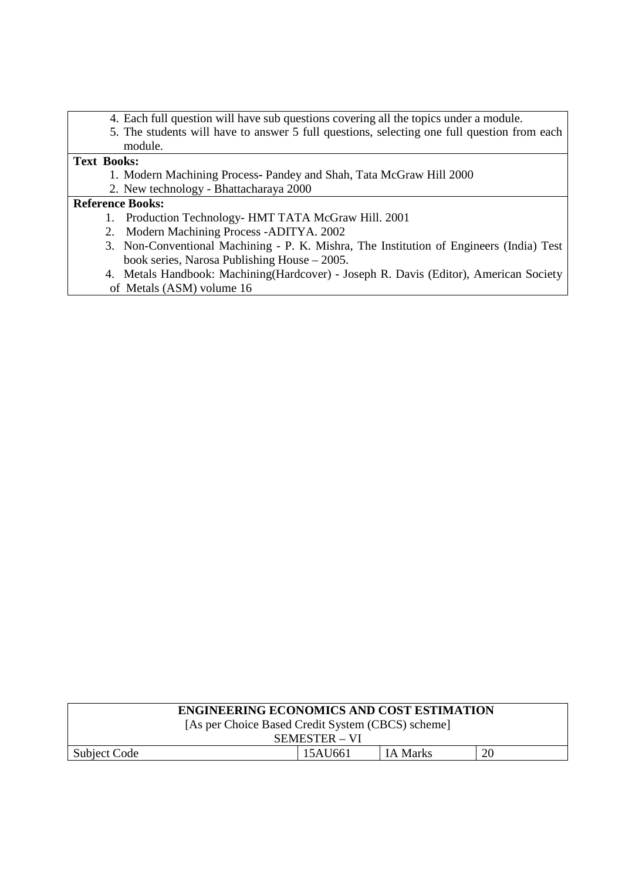- 4. Each full question will have sub questions covering all the topics under a module.
- 5. The students will have to answer 5 full questions, selecting one full question from each module.

## **Text Books:**

- 1. Modern Machining Process**-** Pandey and Shah, Tata McGraw Hill 2000
- 2. New technology Bhattacharaya 2000

## **Reference Books:**

- 1. Production Technology- HMT TATA McGraw Hill. 2001
- 2. Modern Machining Process -ADITYA. 2002
- 3. Non-Conventional Machining P. K. Mishra, The Institution of Engineers (India) Test book series, Narosa Publishing House – 2005.
- 4. Metals Handbook: Machining(Hardcover) Joseph R. Davis (Editor), American Society of Metals (ASM) volume 16

| <b>ENGINEERING ECONOMICS AND COST ESTIMATION</b>  |  |  |  |  |  |  |
|---------------------------------------------------|--|--|--|--|--|--|
| [As per Choice Based Credit System (CBCS) scheme] |  |  |  |  |  |  |
| SEMESTER – VI                                     |  |  |  |  |  |  |
| 20<br>15AU661<br>IA Marks<br>Subject Code         |  |  |  |  |  |  |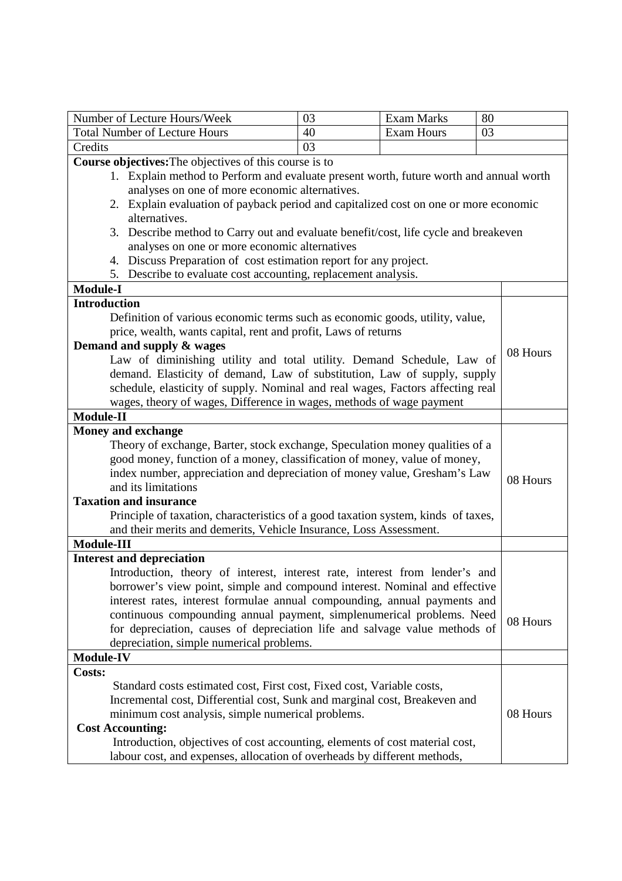| Number of Lecture Hours/Week                                                                                                                              | 03 | <b>Exam Marks</b> | 80       |  |
|-----------------------------------------------------------------------------------------------------------------------------------------------------------|----|-------------------|----------|--|
| <b>Total Number of Lecture Hours</b>                                                                                                                      | 40 | <b>Exam Hours</b> | 03       |  |
| Credits                                                                                                                                                   | 03 |                   |          |  |
| Course objectives: The objectives of this course is to                                                                                                    |    |                   |          |  |
| 1. Explain method to Perform and evaluate present worth, future worth and annual worth                                                                    |    |                   |          |  |
| analyses on one of more economic alternatives.                                                                                                            |    |                   |          |  |
| 2. Explain evaluation of payback period and capitalized cost on one or more economic                                                                      |    |                   |          |  |
| alternatives.                                                                                                                                             |    |                   |          |  |
| 3. Describe method to Carry out and evaluate benefit/cost, life cycle and breakeven                                                                       |    |                   |          |  |
| analyses on one or more economic alternatives                                                                                                             |    |                   |          |  |
| 4. Discuss Preparation of cost estimation report for any project.                                                                                         |    |                   |          |  |
| 5. Describe to evaluate cost accounting, replacement analysis.                                                                                            |    |                   |          |  |
| <b>Module-I</b>                                                                                                                                           |    |                   |          |  |
| <b>Introduction</b>                                                                                                                                       |    |                   |          |  |
| Definition of various economic terms such as economic goods, utility, value,                                                                              |    |                   |          |  |
| price, wealth, wants capital, rent and profit, Laws of returns                                                                                            |    |                   |          |  |
| Demand and supply & wages                                                                                                                                 |    |                   | 08 Hours |  |
| Law of diminishing utility and total utility. Demand Schedule, Law of                                                                                     |    |                   |          |  |
| demand. Elasticity of demand, Law of substitution, Law of supply, supply                                                                                  |    |                   |          |  |
| schedule, elasticity of supply. Nominal and real wages, Factors affecting real                                                                            |    |                   |          |  |
| wages, theory of wages, Difference in wages, methods of wage payment<br><b>Module-II</b>                                                                  |    |                   |          |  |
|                                                                                                                                                           |    |                   |          |  |
| <b>Money and exchange</b>                                                                                                                                 |    |                   |          |  |
| Theory of exchange, Barter, stock exchange, Speculation money qualities of a<br>good money, function of a money, classification of money, value of money, |    |                   |          |  |
|                                                                                                                                                           |    |                   |          |  |
| index number, appreciation and depreciation of money value, Gresham's Law<br>08 Hours<br>and its limitations                                              |    |                   |          |  |
| <b>Taxation and insurance</b>                                                                                                                             |    |                   |          |  |
| Principle of taxation, characteristics of a good taxation system, kinds of taxes,                                                                         |    |                   |          |  |
| and their merits and demerits, Vehicle Insurance, Loss Assessment.                                                                                        |    |                   |          |  |
| Module-III                                                                                                                                                |    |                   |          |  |
| <b>Interest and depreciation</b>                                                                                                                          |    |                   |          |  |
| Introduction, theory of interest, interest rate, interest from lender's and                                                                               |    |                   |          |  |
| borrower's view point, simple and compound interest. Nominal and effective                                                                                |    |                   |          |  |
| interest rates, interest formulae annual compounding, annual payments and                                                                                 |    |                   |          |  |
| continuous compounding annual payment, simplenumerical problems. Need                                                                                     |    |                   |          |  |
| for depreciation, causes of depreciation life and salvage value methods of                                                                                |    |                   | 08 Hours |  |
| depreciation, simple numerical problems.                                                                                                                  |    |                   |          |  |
| <b>Module-IV</b>                                                                                                                                          |    |                   |          |  |
| <b>Costs:</b>                                                                                                                                             |    |                   |          |  |
| Standard costs estimated cost, First cost, Fixed cost, Variable costs,                                                                                    |    |                   |          |  |
| Incremental cost, Differential cost, Sunk and marginal cost, Breakeven and                                                                                |    |                   |          |  |
| minimum cost analysis, simple numerical problems.                                                                                                         |    |                   | 08 Hours |  |
| <b>Cost Accounting:</b>                                                                                                                                   |    |                   |          |  |
| Introduction, objectives of cost accounting, elements of cost material cost,                                                                              |    |                   |          |  |
| labour cost, and expenses, allocation of overheads by different methods,                                                                                  |    |                   |          |  |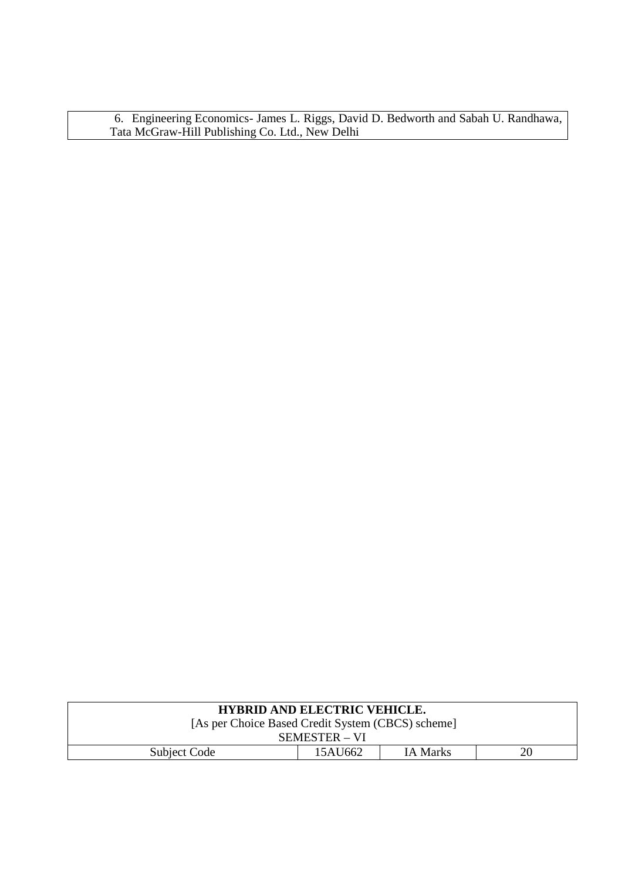6. Engineering Economics- James L. Riggs, David D. Bedworth and Sabah U. Randhawa, Tata McGraw-Hill Publishing Co. Ltd., New Delhi

| <b>HYBRID AND ELECTRIC VEHICLE.</b>               |  |  |  |  |  |  |
|---------------------------------------------------|--|--|--|--|--|--|
| [As per Choice Based Credit System (CBCS) scheme] |  |  |  |  |  |  |
| SEMESTER – VI                                     |  |  |  |  |  |  |
| 15AU662<br>Subject Code<br><b>IA Marks</b><br>20  |  |  |  |  |  |  |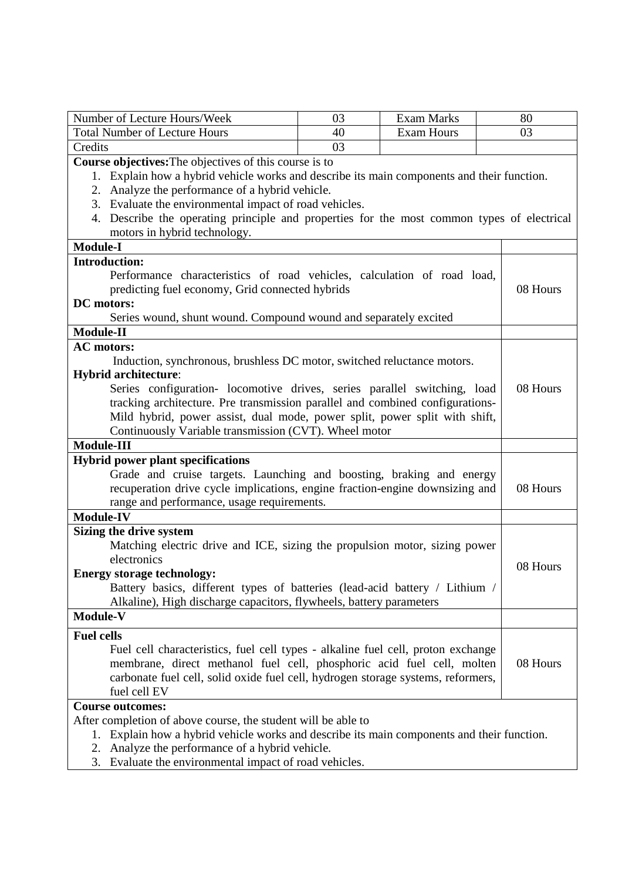| Number of Lecture Hours/Week                                                                                                        | 03                                                                           | <b>Exam Marks</b> | 80       |  |
|-------------------------------------------------------------------------------------------------------------------------------------|------------------------------------------------------------------------------|-------------------|----------|--|
| <b>Total Number of Lecture Hours</b>                                                                                                | 40                                                                           | <b>Exam Hours</b> | 03       |  |
| Credits                                                                                                                             | 03                                                                           |                   |          |  |
| Course objectives: The objectives of this course is to                                                                              |                                                                              |                   |          |  |
| Explain how a hybrid vehicle works and describe its main components and their function.<br>1.                                       |                                                                              |                   |          |  |
| 2. Analyze the performance of a hybrid vehicle.                                                                                     |                                                                              |                   |          |  |
| 3. Evaluate the environmental impact of road vehicles.                                                                              |                                                                              |                   |          |  |
| Describe the operating principle and properties for the most common types of electrical<br>4.                                       |                                                                              |                   |          |  |
| motors in hybrid technology.                                                                                                        |                                                                              |                   |          |  |
| <b>Module-I</b>                                                                                                                     |                                                                              |                   |          |  |
| <b>Introduction:</b>                                                                                                                |                                                                              |                   |          |  |
| Performance characteristics of road vehicles, calculation of road load,                                                             |                                                                              |                   |          |  |
| predicting fuel economy, Grid connected hybrids                                                                                     |                                                                              |                   | 08 Hours |  |
| DC motors:                                                                                                                          |                                                                              |                   |          |  |
|                                                                                                                                     | Series wound, shunt wound. Compound wound and separately excited             |                   |          |  |
| Module-II                                                                                                                           |                                                                              |                   |          |  |
| <b>AC</b> motors:                                                                                                                   |                                                                              |                   |          |  |
| Induction, synchronous, brushless DC motor, switched reluctance motors.                                                             |                                                                              |                   |          |  |
| <b>Hybrid architecture:</b>                                                                                                         |                                                                              |                   |          |  |
| Series configuration- locomotive drives, series parallel switching, load                                                            |                                                                              |                   | 08 Hours |  |
| tracking architecture. Pre transmission parallel and combined configurations-                                                       |                                                                              |                   |          |  |
| Mild hybrid, power assist, dual mode, power split, power split with shift,<br>Continuously Variable transmission (CVT). Wheel motor |                                                                              |                   |          |  |
| <b>Module-III</b>                                                                                                                   |                                                                              |                   |          |  |
|                                                                                                                                     |                                                                              |                   |          |  |
| <b>Hybrid power plant specifications</b><br>Grade and cruise targets. Launching and boosting, braking and energy                    |                                                                              |                   |          |  |
|                                                                                                                                     |                                                                              |                   | 08 Hours |  |
| range and performance, usage requirements.                                                                                          | recuperation drive cycle implications, engine fraction-engine downsizing and |                   |          |  |
| <b>Module-IV</b>                                                                                                                    |                                                                              |                   |          |  |
| Sizing the drive system                                                                                                             |                                                                              |                   |          |  |
| Matching electric drive and ICE, sizing the propulsion motor, sizing power                                                          |                                                                              |                   |          |  |
| electronics                                                                                                                         |                                                                              |                   |          |  |
| 08 Hours<br><b>Energy storage technology:</b>                                                                                       |                                                                              |                   |          |  |
|                                                                                                                                     | Battery basics, different types of batteries (lead-acid battery / Lithium /  |                   |          |  |
| Alkaline), High discharge capacitors, flywheels, battery parameters                                                                 |                                                                              |                   |          |  |
| Module-V                                                                                                                            |                                                                              |                   |          |  |
| <b>Fuel cells</b>                                                                                                                   |                                                                              |                   |          |  |
| Fuel cell characteristics, fuel cell types - alkaline fuel cell, proton exchange                                                    |                                                                              |                   |          |  |
| membrane, direct methanol fuel cell, phosphoric acid fuel cell, molten                                                              |                                                                              |                   | 08 Hours |  |
| carbonate fuel cell, solid oxide fuel cell, hydrogen storage systems, reformers,                                                    |                                                                              |                   |          |  |
| fuel cell EV                                                                                                                        |                                                                              |                   |          |  |
| <b>Course outcomes:</b>                                                                                                             |                                                                              |                   |          |  |
| After completion of above course, the student will be able to                                                                       |                                                                              |                   |          |  |
| Explain how a hybrid vehicle works and describe its main components and their function.<br>1.                                       |                                                                              |                   |          |  |
| Analyze the performance of a hybrid vehicle.<br>2.                                                                                  |                                                                              |                   |          |  |
| Evaluate the environmental impact of road vehicles.<br>3.                                                                           |                                                                              |                   |          |  |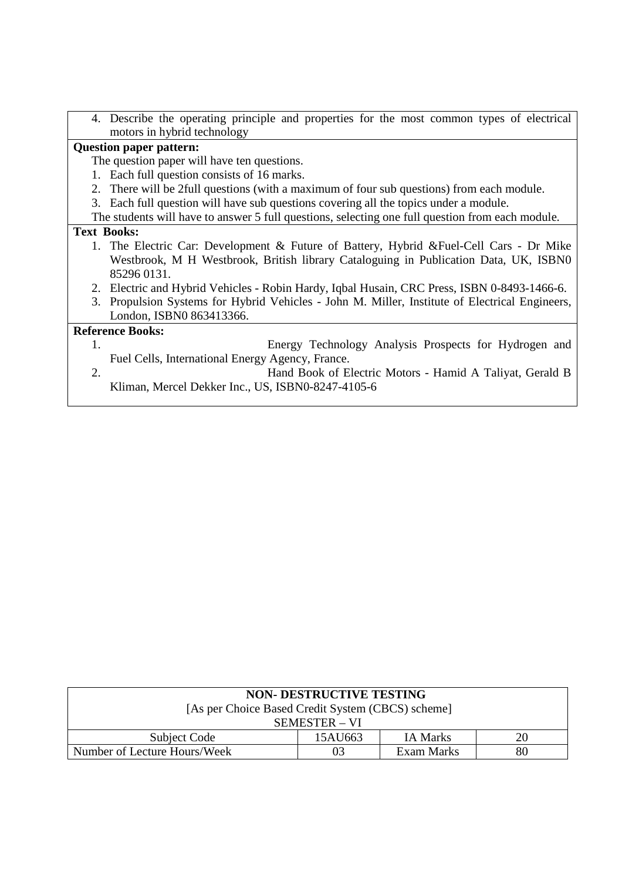| 4. Describe the operating principle and properties for the most common types of electrical       |
|--------------------------------------------------------------------------------------------------|
| motors in hybrid technology                                                                      |
| <b>Question paper pattern:</b>                                                                   |
| The question paper will have ten questions.                                                      |
| 1. Each full question consists of 16 marks.                                                      |
| 2. There will be 2 full questions (with a maximum of four sub questions) from each module.       |
| 3. Each full question will have sub questions covering all the topics under a module.            |
| The students will have to answer 5 full questions, selecting one full question from each module. |
| <b>Text Books:</b>                                                                               |
| 1. The Electric Car: Development & Future of Battery, Hybrid & Fuel-Cell Cars - Dr Mike          |
| Westbrook, M H Westbrook, British library Cataloguing in Publication Data, UK, ISBN0             |
| 85296 0131.                                                                                      |
| 2. Electric and Hybrid Vehicles - Robin Hardy, Iqbal Husain, CRC Press, ISBN 0-8493-1466-6.      |
| 3. Propulsion Systems for Hybrid Vehicles - John M. Miller, Institute of Electrical Engineers,   |
| London, ISBN0 863413366.                                                                         |
| <b>Reference Books:</b>                                                                          |
| Energy Technology Analysis Prospects for Hydrogen and<br>1.                                      |
| Fuel Cells, International Energy Agency, France.                                                 |
| 2.<br>Hand Book of Electric Motors - Hamid A Taliyat, Gerald B                                   |
| Kliman, Mercel Dekker Inc., US, ISBN0-8247-4105-6                                                |
|                                                                                                  |

| <b>NON- DESTRUCTIVE TESTING</b>                   |         |                 |    |  |  |
|---------------------------------------------------|---------|-----------------|----|--|--|
| [As per Choice Based Credit System (CBCS) scheme] |         |                 |    |  |  |
| SEMESTER – VI                                     |         |                 |    |  |  |
| Subject Code                                      | 15AU663 | <b>IA Marks</b> | 20 |  |  |
| Number of Lecture Hours/Week                      | 03      | Exam Marks      | 80 |  |  |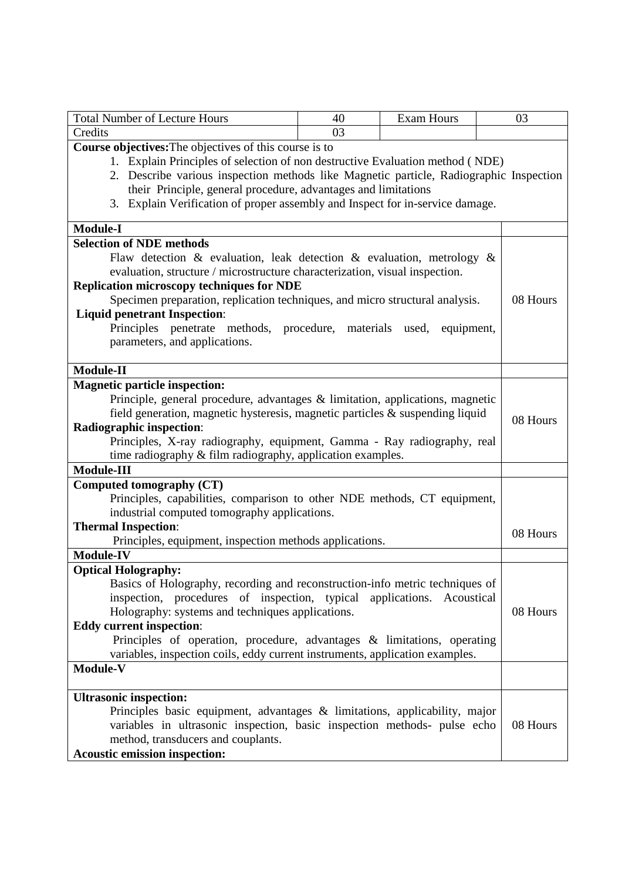| <b>Total Number of Lecture Hours</b>                                                   | 40 | <b>Exam Hours</b> | 03       |
|----------------------------------------------------------------------------------------|----|-------------------|----------|
| Credits                                                                                | 03 |                   |          |
| <b>Course objectives:</b> The objectives of this course is to                          |    |                   |          |
| 1. Explain Principles of selection of non destructive Evaluation method (NDE)          |    |                   |          |
| 2. Describe various inspection methods like Magnetic particle, Radiographic Inspection |    |                   |          |
| their Principle, general procedure, advantages and limitations                         |    |                   |          |
| 3. Explain Verification of proper assembly and Inspect for in-service damage.          |    |                   |          |
| <b>Module-I</b>                                                                        |    |                   |          |
| <b>Selection of NDE methods</b>                                                        |    |                   |          |
| Flaw detection & evaluation, leak detection & evaluation, metrology &                  |    |                   |          |
| evaluation, structure / microstructure characterization, visual inspection.            |    |                   |          |
| <b>Replication microscopy techniques for NDE</b>                                       |    |                   |          |
| Specimen preparation, replication techniques, and micro structural analysis.           |    |                   | 08 Hours |
| <b>Liquid penetrant Inspection:</b>                                                    |    |                   |          |
| Principles penetrate methods, procedure, materials used,                               |    | equipment,        |          |
| parameters, and applications.                                                          |    |                   |          |
| <b>Module-II</b>                                                                       |    |                   |          |
| <b>Magnetic particle inspection:</b>                                                   |    |                   |          |
| Principle, general procedure, advantages & limitation, applications, magnetic          |    |                   |          |
| field generation, magnetic hysteresis, magnetic particles & suspending liquid          |    |                   |          |
| <b>Radiographic inspection:</b>                                                        |    |                   | 08 Hours |
| Principles, X-ray radiography, equipment, Gamma - Ray radiography, real                |    |                   |          |
| time radiography & film radiography, application examples.                             |    |                   |          |
| <b>Module-III</b>                                                                      |    |                   |          |
| Computed tomography (CT)                                                               |    |                   |          |
| Principles, capabilities, comparison to other NDE methods, CT equipment,               |    |                   |          |
| industrial computed tomography applications.                                           |    |                   |          |
| <b>Thermal Inspection:</b>                                                             |    |                   |          |
| Principles, equipment, inspection methods applications.                                |    |                   | 08 Hours |
| <b>Module-IV</b>                                                                       |    |                   |          |
| <b>Optical Holography:</b>                                                             |    |                   |          |
| Basics of Holography, recording and reconstruction-info metric techniques of           |    |                   |          |
| inspection, procedures of inspection, typical applications. Acoustical                 |    |                   |          |
| Holography: systems and techniques applications.                                       |    |                   | 08 Hours |
| <b>Eddy current inspection:</b>                                                        |    |                   |          |
| Principles of operation, procedure, advantages & limitations, operating                |    |                   |          |
| variables, inspection coils, eddy current instruments, application examples.           |    |                   |          |
| Module-V                                                                               |    |                   |          |
| <b>Ultrasonic inspection:</b>                                                          |    |                   |          |
| Principles basic equipment, advantages $\&$ limitations, applicability, major          |    |                   |          |
| variables in ultrasonic inspection, basic inspection methods- pulse echo               |    |                   | 08 Hours |
| method, transducers and couplants.                                                     |    |                   |          |
| <b>Acoustic emission inspection:</b>                                                   |    |                   |          |